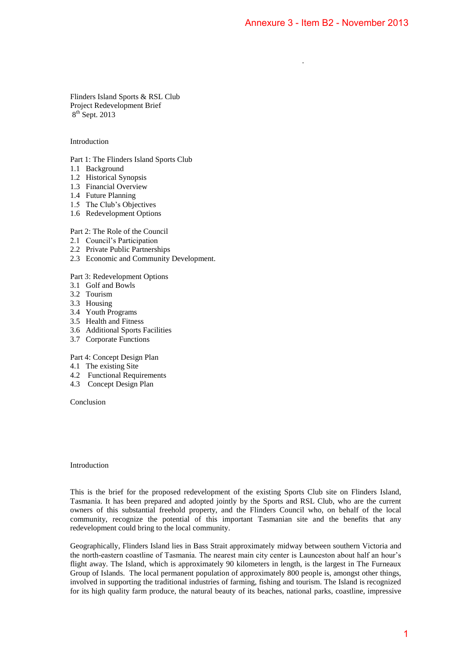.

Flinders Island Sports & RSL Club Project Redevelopment Brief 8<sup>th</sup> Sept. 2013

### Introduction

Part 1: The Flinders Island Sports Club

- 1.1 Background
- 1.2 Historical Synopsis
- 1.3 Financial Overview
- 1.4 Future Planning
- 1.5 The Club's Objectives
- 1.6 Redevelopment Options

### Part 2: The Role of the Council

- 2.1 Council's Participation
- 2.2 Private Public Partnerships
- 2.3 Economic and Community Development.

Part 3: Redevelopment Options

- 3.1 Golf and Bowls
- 3.2 Tourism
- 3.3 Housing
- 3.4 Youth Programs
- 3.5 Health and Fitness
- 3.6 Additional Sports Facilities
- 3.7 Corporate Functions

Part 4: Concept Design Plan

- 4.1 The existing Site
- 4.2 Functional Requirements
- 4.3 Concept Design Plan

Conclusion

Introduction

This is the brief for the proposed redevelopment of the existing Sports Club site on Flinders Island, Tasmania. It has been prepared and adopted jointly by the Sports and RSL Club, who are the current owners of this substantial freehold property, and the Flinders Council who, on behalf of the local community, recognize the potential of this important Tasmanian site and the benefits that any redevelopment could bring to the local community.

Geographically, Flinders Island lies in Bass Strait approximately midway between southern Victoria and the north-eastern coastline of Tasmania. The nearest main city center is Launceston about half an hour's flight away. The Island, which is approximately 90 kilometers in length, is the largest in The Furneaux Group of Islands. The local permanent population of approximately 800 people is, amongst other things, involved in supporting the traditional industries of farming, fishing and tourism. The Island is recognized for its high quality farm produce, the natural beauty of its beaches, national parks, coastline, impressive Annexure 3 - Item B2 - November 2013<br>
he existing Sports and RSL Club, who are the current<br>
P Flinders Council who, on behalf of the local<br>
int Tasmanian site and the benefits that any<br>
siximately midway between southern V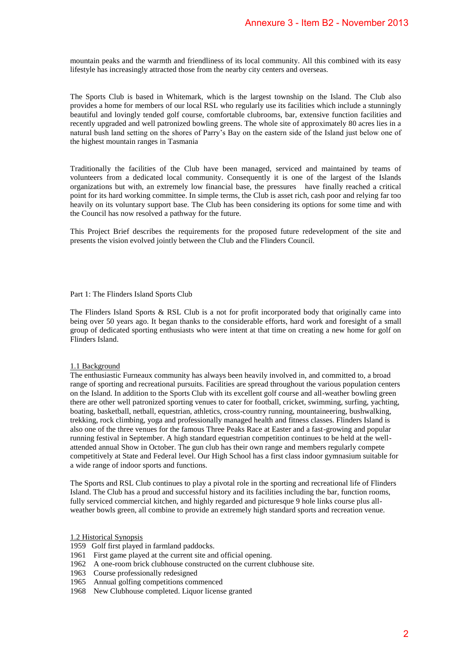mountain peaks and the warmth and friendliness of its local community. All this combined with its easy lifestyle has increasingly attracted those from the nearby city centers and overseas.

The Sports Club is based in Whitemark, which is the largest township on the Island. The Club also provides a home for members of our local RSL who regularly use its facilities which include a stunningly beautiful and lovingly tended golf course, comfortable clubrooms, bar, extensive function facilities and recently upgraded and well patronized bowling greens. The whole site of approximately 80 acres lies in a natural bush land setting on the shores of Parry's Bay on the eastern side of the Island just below one of the highest mountain ranges in Tasmania

Traditionally the facilities of the Club have been managed, serviced and maintained by teams of volunteers from a dedicated local community. Consequently it is one of the largest of the Islands organizations but with, an extremely low financial base, the pressures have finally reached a critical point for its hard working committee. In simple terms, the Club is asset rich, cash poor and relying far too heavily on its voluntary support base. The Club has been considering its options for some time and with the Council has now resolved a pathway for the future.

This Project Brief describes the requirements for the proposed future redevelopment of the site and presents the vision evolved jointly between the Club and the Flinders Council.

### Part 1: The Flinders Island Sports Club

The Flinders Island Sports & RSL Club is a not for profit incorporated body that originally came into being over 50 years ago. It began thanks to the considerable efforts, hard work and foresight of a small group of dedicated sporting enthusiasts who were intent at that time on creating a new home for golf on Flinders Island.

### 1.1 Background

The enthusiastic Furneaux community has always been heavily involved in, and committed to, a broad range of sporting and recreational pursuits. Facilities are spread throughout the various population centers on the Island. In addition to the Sports Club with its excellent golf course and all-weather bowling green there are other well patronized sporting venues to cater for football, cricket, swimming, surfing, yachting, boating, basketball, netball, equestrian, athletics, cross-country running, mountaineering, bushwalking, trekking, rock climbing, yoga and professionally managed health and fitness classes. Flinders Island is also one of the three venues for the famous Three Peaks Race at Easter and a fast-growing and popular running festival in September. A high standard equestrian competition continues to be held at the wellattended annual Show in October. The gun club has their own range and members regularly compete competitively at State and Federal level. Our High School has a first class indoor gymnasium suitable for a wide range of indoor sports and functions. Annexure 3 - Item B2 - November 2013<br>
Iocal community. All this combined with its easy<br>
city centers and overseas.<br>
Iocal community. All this combined with its easy<br>
city centers and overseas.<br>
Lundary use its finithics wh

The Sports and RSL Club continues to play a pivotal role in the sporting and recreational life of Flinders Island. The Club has a proud and successful history and its facilities including the bar, function rooms, fully serviced commercial kitchen, and highly regarded and picturesque 9 hole links course plus allweather bowls green, all combine to provide an extremely high standard sports and recreation venue.

#### 1.2 Historical Synopsis

- 1959 Golf first played in farmland paddocks.
- 1961 First game played at the current site and official opening.
- 1962 A one-room brick clubhouse constructed on the current clubhouse site.
- 1963 Course professionally redesigned
- 1965 Annual golfing competitions commenced
- 1968 New Clubhouse completed. Liquor license granted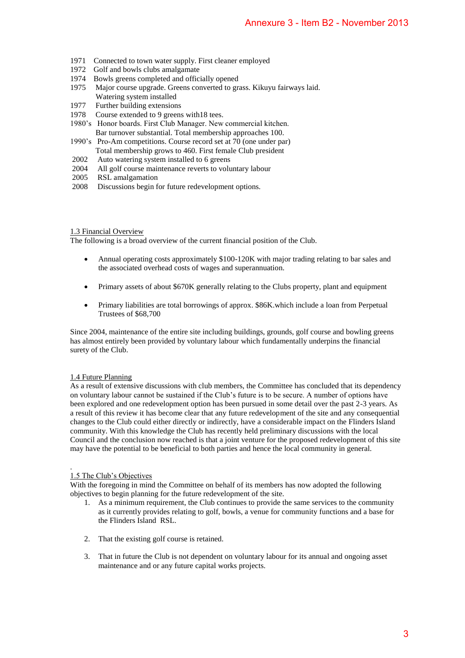- 1971 Connected to town water supply. First cleaner employed
- 1972 Golf and bowls clubs amalgamate
- 1974 Bowls greens completed and officially opened
- 1975 Major course upgrade. Greens converted to grass. Kikuyu fairways laid. Watering system installed
- 1977 Further building extensions
- 1978 Course extended to 9 greens with18 tees.
- 1980's Honor boards. First Club Manager. New commercial kitchen. Bar turnover substantial. Total membership approaches 100.
- 1990's Pro-Am competitions. Course record set at 70 (one under par) Total membership grows to 460. First female Club president
- 2002 Auto watering system installed to 6 greens
- 2004 All golf course maintenance reverts to voluntary labour
- 2005 RSL amalgamation
- 2008 Discussions begin for future redevelopment options.

### 1.3 Financial Overview

The following is a broad overview of the current financial position of the Club.

- Annual operating costs approximately \$100-120K with major trading relating to bar sales and the associated overhead costs of wages and superannuation.
- Primary assets of about \$670K generally relating to the Clubs property, plant and equipment
- Primary liabilities are total borrowings of approx. \$86K.which include a loan from Perpetual Trustees of \$68,700

Since 2004, maintenance of the entire site including buildings, grounds, golf course and bowling greens has almost entirely been provided by voluntary labour which fundamentally underpins the financial surety of the Club.

# 1.4 Future Planning

As a result of extensive discussions with club members, the Committee has concluded that its dependency on voluntary labour cannot be sustained if the Club's future is to be secure. A number of options have been explored and one redevelopment option has been pursued in some detail over the past 2-3 years. As a result of this review it has become clear that any future redevelopment of the site and any consequential changes to the Club could either directly or indirectly, have a considerable impact on the Flinders Island community. With this knowledge the Club has recently held preliminary discussions with the local Council and the conclusion now reached is that a joint venture for the proposed redevelopment of this site may have the potential to be beneficial to both parties and hence the local community in general. Annexure 3 - Item B2 - November 2013<br>
mployed<br>
s. Kikuyu fairways laid.<br>
s. Kikuyu fairways laid.<br>
s. Kikuyu fairways laid.<br>
one under par)<br>
whe president<br>
where parameters<br>
which the major trading relating to har sales an

#### . 1.5 The Club's Objectives

With the foregoing in mind the Committee on behalf of its members has now adopted the following objectives to begin planning for the future redevelopment of the site.

- 1. As a minimum requirement, the Club continues to provide the same services to the community as it currently provides relating to golf, bowls, a venue for community functions and a base for the Flinders Island RSL.
- 2. That the existing golf course is retained.
- 3. That in future the Club is not dependent on voluntary labour for its annual and ongoing asset maintenance and or any future capital works projects.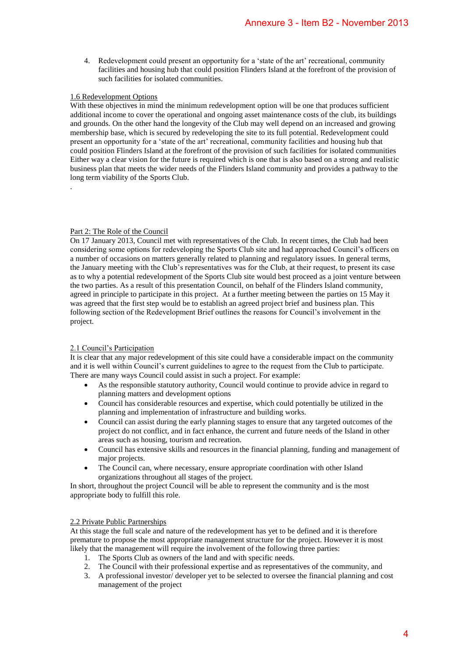4. Redevelopment could present an opportunity for a 'state of the art' recreational, community facilities and housing hub that could position Flinders Island at the forefront of the provision of such facilities for isolated communities.

# 1.6 Redevelopment Options

With these objectives in mind the minimum redevelopment option will be one that produces sufficient additional income to cover the operational and ongoing asset maintenance costs of the club, its buildings and grounds. On the other hand the longevity of the Club may well depend on an increased and growing membership base, which is secured by redeveloping the site to its full potential. Redevelopment could present an opportunity for a 'state of the art' recreational, community facilities and housing hub that could position Flinders Island at the forefront of the provision of such facilities for isolated communities Either way a clear vision for the future is required which is one that is also based on a strong and realistic business plan that meets the wider needs of the Flinders Island community and provides a pathway to the long term viability of the Sports Club.

# Part 2: The Role of the Council

.

On 17 January 2013, Council met with representatives of the Club. In recent times, the Club had been considering some options for redeveloping the Sports Club site and had approached Council's officers on a number of occasions on matters generally related to planning and regulatory issues. In general terms, the January meeting with the Club's representatives was for the Club, at their request, to present its case as to why a potential redevelopment of the Sports Club site would best proceed as a joint venture between the two parties. As a result of this presentation Council, on behalf of the Flinders Island community, agreed in principle to participate in this project. At a further meeting between the parties on 15 May it was agreed that the first step would be to establish an agreed project brief and business plan. This following section of the Redevelopment Brief outlines the reasons for Council's involvement in the project. Annexure 3 - Item B2 - November 2013<br>or a 'state of the art' recreational, community<br>or a 'state of the art' recreational, community<br>inders Island at the forefront of the provision of<br>memorial memorial behavior of the clu

# 2.1 Council's Participation

It is clear that any major redevelopment of this site could have a considerable impact on the community and it is well within Council's current guidelines to agree to the request from the Club to participate. There are many ways Council could assist in such a project. For example:

- As the responsible statutory authority, Council would continue to provide advice in regard to planning matters and development options
- Council has considerable resources and expertise, which could potentially be utilized in the planning and implementation of infrastructure and building works.
- Council can assist during the early planning stages to ensure that any targeted outcomes of the project do not conflict, and in fact enhance, the current and future needs of the Island in other areas such as housing, tourism and recreation.
- Council has extensive skills and resources in the financial planning, funding and management of major projects.
- The Council can, where necessary, ensure appropriate coordination with other Island organizations throughout all stages of the project.

In short, throughout the project Council will be able to represent the community and is the most appropriate body to fulfill this role.

# 2.2 Private Public Partnerships

At this stage the full scale and nature of the redevelopment has yet to be defined and it is therefore premature to propose the most appropriate management structure for the project. However it is most likely that the management will require the involvement of the following three parties:

- 1. The Sports Club as owners of the land and with specific needs.
- 2. The Council with their professional expertise and as representatives of the community, and
- 3. A professional investor/ developer yet to be selected to oversee the financial planning and cost management of the project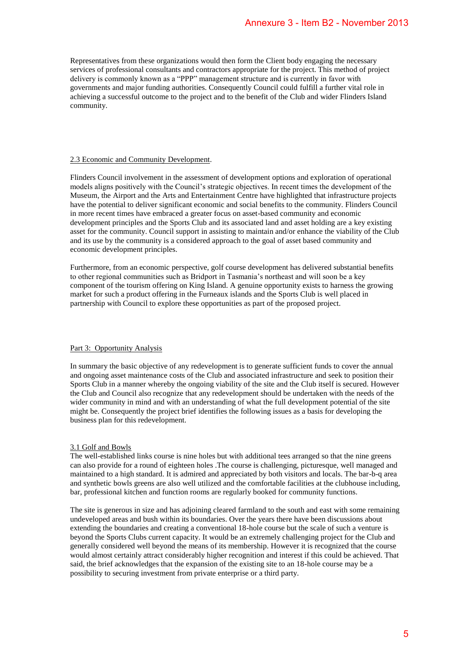Representatives from these organizations would then form the Client body engaging the necessary services of professional consultants and contractors appropriate for the project. This method of project delivery is commonly known as a "PPP" management structure and is currently in favor with governments and major funding authorities. Consequently Council could fulfill a further vital role in achieving a successful outcome to the project and to the benefit of the Club and wider Flinders Island community.

### 2.3 Economic and Community Development.

Flinders Council involvement in the assessment of development options and exploration of operational models aligns positively with the Council's strategic objectives. In recent times the development of the Museum, the Airport and the Arts and Entertainment Centre have highlighted that infrastructure projects have the potential to deliver significant economic and social benefits to the community. Flinders Council in more recent times have embraced a greater focus on asset-based community and economic development principles and the Sports Club and its associated land and asset holding are a key existing asset for the community. Council support in assisting to maintain and/or enhance the viability of the Club and its use by the community is a considered approach to the goal of asset based community and economic development principles. **Annexure 3 - Item B2 - November 2013**<br>mm the Client body engaging the necessary<br>popinise for the project. This method of project<br>routive and is currently in favor with cole interaction in favor with<br>routine and is curren

Furthermore, from an economic perspective, golf course development has delivered substantial benefits to other regional communities such as Bridport in Tasmania's northeast and will soon be a key component of the tourism offering on King Island. A genuine opportunity exists to harness the growing market for such a product offering in the Furneaux islands and the Sports Club is well placed in partnership with Council to explore these opportunities as part of the proposed project.

# Part 3: Opportunity Analysis

In summary the basic objective of any redevelopment is to generate sufficient funds to cover the annual and ongoing asset maintenance costs of the Club and associated infrastructure and seek to position their Sports Club in a manner whereby the ongoing viability of the site and the Club itself is secured. However the Club and Council also recognize that any redevelopment should be undertaken with the needs of the wider community in mind and with an understanding of what the full development potential of the site might be. Consequently the project brief identifies the following issues as a basis for developing the business plan for this redevelopment.

# 3.1 Golf and Bowls

The well-established links course is nine holes but with additional tees arranged so that the nine greens can also provide for a round of eighteen holes .The course is challenging, picturesque, well managed and maintained to a high standard. It is admired and appreciated by both visitors and locals. The bar-b-q area and synthetic bowls greens are also well utilized and the comfortable facilities at the clubhouse including, bar, professional kitchen and function rooms are regularly booked for community functions.

The site is generous in size and has adjoining cleared farmland to the south and east with some remaining undeveloped areas and bush within its boundaries. Over the years there have been discussions about extending the boundaries and creating a conventional 18-hole course but the scale of such a venture is beyond the Sports Clubs current capacity. It would be an extremely challenging project for the Club and generally considered well beyond the means of its membership. However it is recognized that the course would almost certainly attract considerably higher recognition and interest if this could be achieved. That said, the brief acknowledges that the expansion of the existing site to an 18-hole course may be a possibility to securing investment from private enterprise or a third party.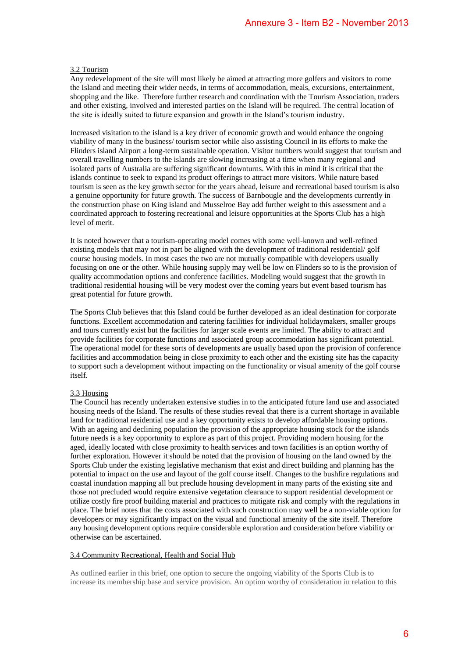### 3.2 Tourism

Any redevelopment of the site will most likely be aimed at attracting more golfers and visitors to come the Island and meeting their wider needs, in terms of accommodation, meals, excursions, entertainment, shopping and the like. Therefore further research and coordination with the Tourism Association, traders and other existing, involved and interested parties on the Island will be required. The central location of the site is ideally suited to future expansion and growth in the Island's tourism industry.

Increased visitation to the island is a key driver of economic growth and would enhance the ongoing viability of many in the business/ tourism sector while also assisting Council in its efforts to make the Flinders island Airport a long-term sustainable operation. Visitor numbers would suggest that tourism and overall travelling numbers to the islands are slowing increasing at a time when many regional and isolated parts of Australia are suffering significant downturns. With this in mind it is critical that the islands continue to seek to expand its product offerings to attract more visitors. While nature based tourism is seen as the key growth sector for the years ahead, leisure and recreational based tourism is also a genuine opportunity for future growth. The success of Barnbougle and the developments currently in the construction phase on King island and Musselroe Bay add further weight to this assessment and a coordinated approach to fostering recreational and leisure opportunities at the Sports Club has a high level of merit.

It is noted however that a tourism-operating model comes with some well-known and well-refined existing models that may not in part be aligned with the development of traditional residential/ golf course housing models. In most cases the two are not mutually compatible with developers usually focusing on one or the other. While housing supply may well be low on Flinders so to is the provision of quality accommodation options and conference facilities. Modeling would suggest that the growth in traditional residential housing will be very modest over the coming years but event based tourism has great potential for future growth.

The Sports Club believes that this Island could be further developed as an ideal destination for corporate functions. Excellent accommodation and catering facilities for individual holidaymakers, smaller groups and tours currently exist but the facilities for larger scale events are limited. The ability to attract and provide facilities for corporate functions and associated group accommodation has significant potential. The operational model for these sorts of developments are usually based upon the provision of conference facilities and accommodation being in close proximity to each other and the existing site has the capacity to support such a development without impacting on the functionality or visual amenity of the golf course itself.

### 3.3 Housing

The Council has recently undertaken extensive studies in to the anticipated future land use and associated housing needs of the Island. The results of these studies reveal that there is a current shortage in available land for traditional residential use and a key opportunity exists to develop affordable housing options. With an ageing and declining population the provision of the appropriate housing stock for the islands future needs is a key opportunity to explore as part of this project. Providing modern housing for the aged, ideally located with close proximity to health services and town facilities is an option worthy of further exploration. However it should be noted that the provision of housing on the land owned by the Sports Club under the existing legislative mechanism that exist and direct building and planning has the potential to impact on the use and layout of the golf course itself. Changes to the bushfire regulations and coastal inundation mapping all but preclude housing development in many parts of the existing site and those not precluded would require extensive vegetation clearance to support residential development or utilize costly fire proof building material and practices to mitigate risk and comply with the regulations in place. The brief notes that the costs associated with such construction may well be a non-viable option for developers or may significantly impact on the visual and functional amenity of the site itself. Therefore any housing development options require considerable exploration and consideration before viability or otherwise can be ascertained. **Annexure 3 - Item B2 - November 2013**<br>
at attracting more gollers and visitors to come<br>
annumodulon, meals, excusions, oncettimment,<br>
commodulon, meals, excusions, oncettimment,<br>
condination with the Fourism Masociation,

### 3.4 Community Recreational, Health and Social Hub

As outlined earlier in this brief, one option to secure the ongoing viability of the Sports Club is to increase its membership base and service provision. An option worthy of consideration in relation to this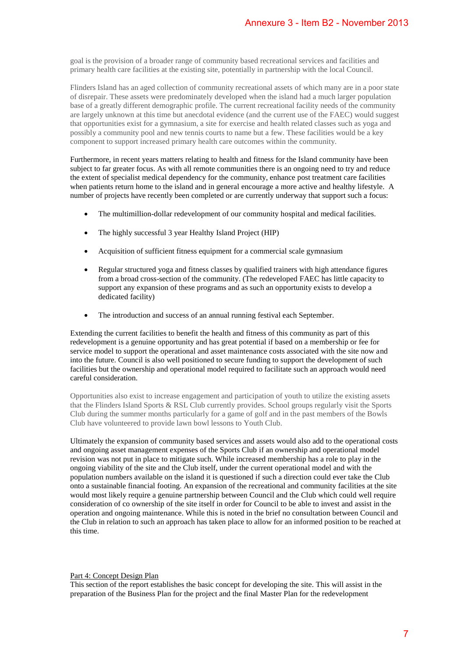goal is the provision of a broader range of community based recreational services and facilities and primary health care facilities at the existing site, potentially in partnership with the local Council.

Flinders Island has an aged collection of community recreational assets of which many are in a poor state of disrepair. These assets were predominately developed when the island had a much larger population base of a greatly different demographic profile. The current recreational facility needs of the community are largely unknown at this time but anecdotal evidence (and the current use of the FAEC) would suggest that opportunities exist for a gymnasium, a site for exercise and health related classes such as yoga and possibly a community pool and new tennis courts to name but a few. These facilities would be a key component to support increased primary health care outcomes within the community.

Furthermore, in recent years matters relating to health and fitness for the Island community have been subject to far greater focus. As with all remote communities there is an ongoing need to try and reduce the extent of specialist medical dependency for the community, enhance post treatment care facilities when patients return home to the island and in general encourage a more active and healthy lifestyle. A number of projects have recently been completed or are currently underway that support such a focus:

- The multimillion-dollar redevelopment of our community hospital and medical facilities.
- The highly successful 3 year Healthy Island Project (HIP)
- Acquisition of sufficient fitness equipment for a commercial scale gymnasium
- Regular structured yoga and fitness classes by qualified trainers with high attendance figures from a broad cross-section of the community. (The redeveloped FAEC has little capacity to support any expansion of these programs and as such an opportunity exists to develop a dedicated facility)
- The introduction and success of an annual running festival each September.

Extending the current facilities to benefit the health and fitness of this community as part of this redevelopment is a genuine opportunity and has great potential if based on a membership or fee for service model to support the operational and asset maintenance costs associated with the site now and into the future. Council is also well positioned to secure funding to support the development of such facilities but the ownership and operational model required to facilitate such an approach would need careful consideration.

Opportunities also exist to increase engagement and participation of youth to utilize the existing assets that the Flinders Island Sports & RSL Club currently provides. School groups regularly visit the Sports Club during the summer months particularly for a game of golf and in the past members of the Bowls Club have volunteered to provide lawn bowl lessons to Youth Club.

Ultimately the expansion of community based services and assets would also add to the operational costs and ongoing asset management expenses of the Sports Club if an ownership and operational model revision was not put in place to mitigate such. While increased membership has a role to play in the ongoing viability of the site and the Club itself, under the current operational model and with the population numbers available on the island it is questioned if such a direction could ever take the Club onto a sustainable financial footing. An expansion of the recreational and community facilities at the site would most likely require a genuine partnership between Council and the Club which could well require consideration of co ownership of the site itself in order for Council to be able to invest and assist in the operation and ongoing maintenance. While this is noted in the brief no consultation between Council and the Club in relation to such an approach has taken place to allow for an informed position to be reached at this time. **Annexure 3 - Item B2 - November 2013**<br>sased recreational services and facilities and<br>ally in partnership with the local Council.<br>reutional sasests of which many are in a poor state<br>when the island had a much larger popul

#### Part 4: Concept Design Plan

This section of the report establishes the basic concept for developing the site. This will assist in the preparation of the Business Plan for the project and the final Master Plan for the redevelopment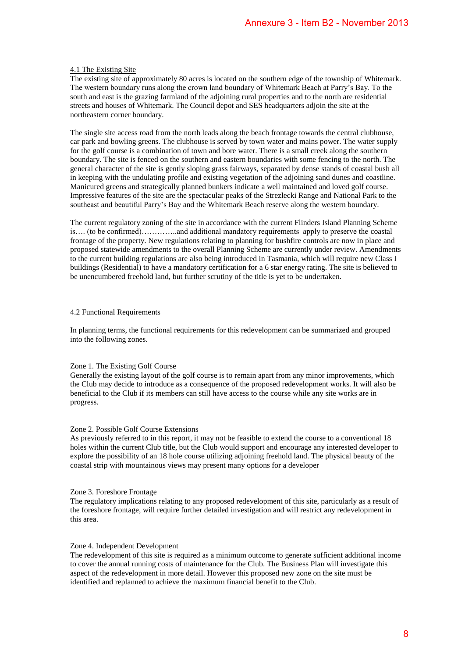### 4.1 The Existing Site

The existing site of approximately 80 acres is located on the southern edge of the township of Whitemark. The western boundary runs along the crown land boundary of Whitemark Beach at Parry's Bay. To the south and east is the grazing farmland of the adjoining rural properties and to the north are residential streets and houses of Whitemark. The Council depot and SES headquarters adjoin the site at the northeastern corner boundary.

The single site access road from the north leads along the beach frontage towards the central clubhouse, car park and bowling greens. The clubhouse is served by town water and mains power. The water supply for the golf course is a combination of town and bore water. There is a small creek along the southern boundary. The site is fenced on the southern and eastern boundaries with some fencing to the north. The general character of the site is gently sloping grass fairways, separated by dense stands of coastal bush all in keeping with the undulating profile and existing vegetation of the adjoining sand dunes and coastline. Manicured greens and strategically planned bunkers indicate a well maintained and loved golf course. Impressive features of the site are the spectacular peaks of the Strezlecki Range and National Park to the southeast and beautiful Parry's Bay and the Whitemark Beach reserve along the western boundary. Annexure 3 - Item B2 - November 2013<br>the southern edge of the township of Whitemark.<br>any of Whitemark Beach at Parry's Bay. To the source of the total and the star and properties and to the nonth are residential<br>SES headq

The current regulatory zoning of the site in accordance with the current Flinders Island Planning Scheme is…. (to be confirmed)…………..and additional mandatory requirements apply to preserve the coastal frontage of the property. New regulations relating to planning for bushfire controls are now in place and proposed statewide amendments to the overall Planning Scheme are currently under review. Amendments to the current building regulations are also being introduced in Tasmania, which will require new Class I buildings (Residential) to have a mandatory certification for a 6 star energy rating. The site is believed to be unencumbered freehold land, but further scrutiny of the title is yet to be undertaken.

### 4.2 Functional Requirements

In planning terms, the functional requirements for this redevelopment can be summarized and grouped into the following zones.

### Zone 1. The Existing Golf Course

Generally the existing layout of the golf course is to remain apart from any minor improvements, which the Club may decide to introduce as a consequence of the proposed redevelopment works. It will also be beneficial to the Club if its members can still have access to the course while any site works are in progress.

### Zone 2. Possible Golf Course Extensions

As previously referred to in this report, it may not be feasible to extend the course to a conventional 18 holes within the current Club title, but the Club would support and encourage any interested developer to explore the possibility of an 18 hole course utilizing adjoining freehold land. The physical beauty of the coastal strip with mountainous views may present many options for a developer

### Zone 3. Foreshore Frontage

The regulatory implications relating to any proposed redevelopment of this site, particularly as a result of the foreshore frontage, will require further detailed investigation and will restrict any redevelopment in this area.

### Zone 4. Independent Development

The redevelopment of this site is required as a minimum outcome to generate sufficient additional income to cover the annual running costs of maintenance for the Club. The Business Plan will investigate this aspect of the redevelopment in more detail. However this proposed new zone on the site must be identified and replanned to achieve the maximum financial benefit to the Club.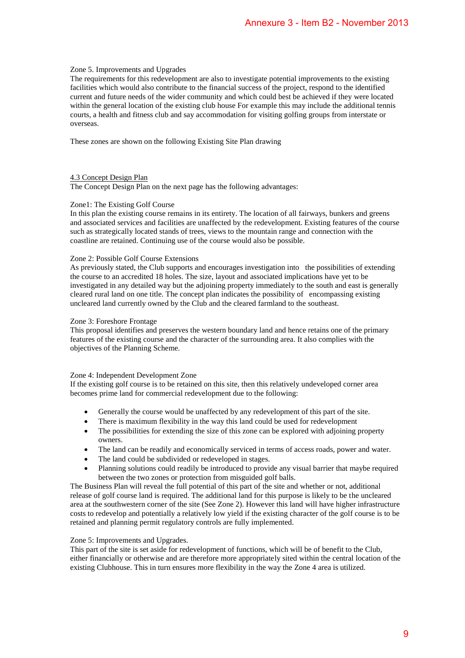# Zone 5. Improvements and Upgrades

The requirements for this redevelopment are also to investigate potential improvements to the existing facilities which would also contribute to the financial success of the project, respond to the identified current and future needs of the wider community and which could best be achieved if they were located within the general location of the existing club house For example this may include the additional tennis courts, a health and fitness club and say accommodation for visiting golfing groups from interstate or overseas. Annexure 3 - Item B2 - November 2013<br>
estigate potential improvements to the existing<br>
estigate potential improvements to the existing<br>
ecces of the project, respond to the dentificat<br>
reckord of the project, respond to t

These zones are shown on the following Existing Site Plan drawing

# 4.3 Concept Design Plan

The Concept Design Plan on the next page has the following advantages:

# Zone1: The Existing Golf Course

In this plan the existing course remains in its entirety. The location of all fairways, bunkers and greens and associated services and facilities are unaffected by the redevelopment. Existing features of the course such as strategically located stands of trees, views to the mountain range and connection with the coastline are retained. Continuing use of the course would also be possible.

# Zone 2: Possible Golf Course Extensions

As previously stated, the Club supports and encourages investigation into the possibilities of extending the course to an accredited 18 holes. The size, layout and associated implications have yet to be investigated in any detailed way but the adjoining property immediately to the south and east is generally cleared rural land on one title. The concept plan indicates the possibility of encompassing existing uncleared land currently owned by the Club and the cleared farmland to the southeast.

# Zone 3: Foreshore Frontage

This proposal identifies and preserves the western boundary land and hence retains one of the primary features of the existing course and the character of the surrounding area. It also complies with the objectives of the Planning Scheme.

# Zone 4: Independent Development Zone

If the existing golf course is to be retained on this site, then this relatively undeveloped corner area becomes prime land for commercial redevelopment due to the following:

- Generally the course would be unaffected by any redevelopment of this part of the site.
- There is maximum flexibility in the way this land could be used for redevelopment
- The possibilities for extending the size of this zone can be explored with adjoining property owners.
- The land can be readily and economically serviced in terms of access roads, power and water.
- The land could be subdivided or redeveloped in stages.
- Planning solutions could readily be introduced to provide any visual barrier that maybe required between the two zones or protection from misguided golf balls.

The Business Plan will reveal the full potential of this part of the site and whether or not, additional release of golf course land is required. The additional land for this purpose is likely to be the uncleared area at the southwestern corner of the site (See Zone 2). However this land will have higher infrastructure costs to redevelop and potentially a relatively low yield if the existing character of the golf course is to be retained and planning permit regulatory controls are fully implemented.

# Zone 5: Improvements and Upgrades.

This part of the site is set aside for redevelopment of functions, which will be of benefit to the Club, either financially or otherwise and are therefore more appropriately sited within the central location of the existing Clubhouse. This in turn ensures more flexibility in the way the Zone 4 area is utilized.